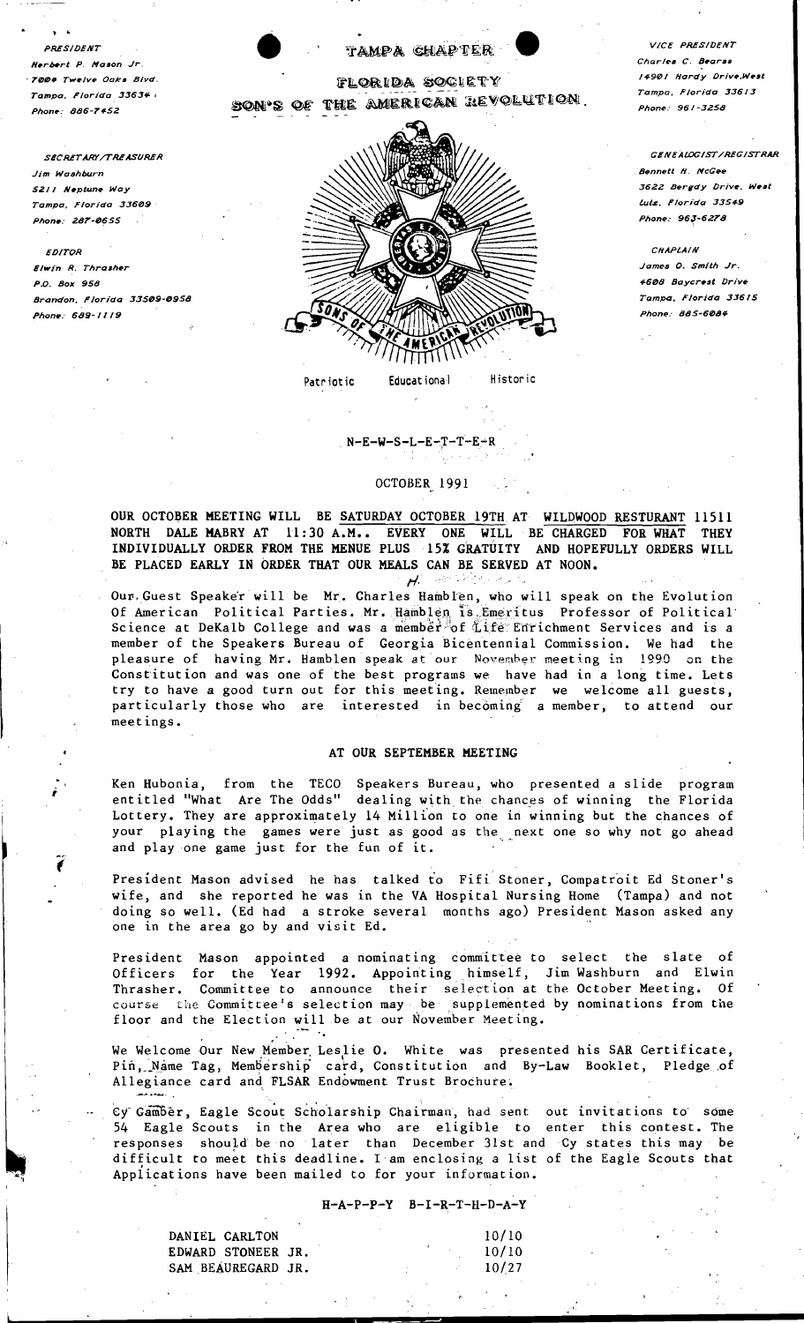PRESIDENT Herbert P Mason Jr. **04 Twelve Oaks Bivd.** Tampa, Florida 33634; Phone: 886-7452

**SECRETARY /TREASURER** Jim Washburn S211 Neptune Way Tampa, Florida 33609 Phone: 287-0655

EDITOR Elwin R. Thrasher P.O. Box 958 Brandon, Florida 33509-0958 Phone: 689-1119



#### Educational Patriotic

# $N-E-W-S-L-E-T-T-E-R$

#### OCTOBER 1991

OUR OCTOBER MEETING WILL BE SATURDAY OCTOBER 19TH AT WILDWOOD RESTURANT 11511 NORTH DALE MABRY AT 11:30 A.M.. EVERY ONE WILL BE CHARGED FOR WHAT **THEY** INDIVIDUALLY ORDER FROM THE MENUE PLUS 15% GRATUITY AND HOPEFULLY ORDERS WILL BE PLACED EARLY IN ORDER THAT OUR MEALS CAN BE SERVED AT NOON.

 $H<sup>2</sup>$ Our Guest Speaker will be Mr. Charles Hamblen, who will speak on the Evolution Of American Political Parties. Mr. Hamblen is Emeritus Professor of Political<br>Science at DeKalb College and was a member of Life Enrichment Services and is a<br>member of the Speakers Bureau of Georgia Bicentennial Commission pleasure of having Mr. Hamblen speak at our November meeting in 1990 on the Constitution and was one of the best programs we have had in a long time. Lets try to have a good turn out for this meeting. Remember we welcome all guests, particularly those who are interested in becoming a member, to attend our meetings.

### AT OUR SEPTEMBER MEETING

Ken Hubonia, from the TECO Speakers Bureau, who presented a slide program<br>entitled "What Are The Odds" dealing with the chances of winning the Florida Lottery. They are approximately 14 Million to one in winning but the chances of your playing the games were just as good as the next one so why not go ahead and play one game just for the fun of it.

President Mason advised he has talked to Fifi Stoner, Compatroit Ed Stoner's wife, and she reported he was in the VA Hospital Nursing Home (Tampa) and not doing so well. (Ed had a stroke several months ago) President Mason asked any one in the area go by and visit Ed.

President Mason appointed a nominating committee to select the slate of Officers for the Year 1992. Appointing himself, Jim Washburn and Elwin Thrasher. Committee to announce their selection at the October Meeting. Of course the Committee's selection may be supplemented by nominations from the floor and the Election will be at our November Meeting.

We Welcome Our New Member Leslie O. White was presented his SAR Certificate, Pin, Name Tag, Membership card, Constitution and By-Law Booklet, Pledge of Allegiance card and FLSAR Endowment Trust Brochure.

Cy Gamber, Eagle Scout Scholarship Chairman, had sent out invitations to some 54 Eagle Scouts in the Area who are eligible to enter this contest. The responses should be no later than December 31st and Cy states this may be difficult to meet this deadline. I am enclosing a list of the Eagle Scouts that Applications have been mailed to for your information.

#### $H - A - P - P - Y$ <br>B-I-R-T-H-D-A-Y

| DANIEL CARLTON     |  |  | 10/10 |
|--------------------|--|--|-------|
| EDWARD STONEER JR. |  |  | 10/10 |
| SAM BEAUREGARD JR. |  |  | 10/27 |

VICE PRESIDENT Charles C. Bearss 14901 Hardy Drive, West Tampa, Florida 33613 Phone: 961-3258

GENEALOGIST/REGISTRAR **Bennett H. McGee** 3622 Bergdy Drive, West Lutz, Florida 33549 Phone: 963-6278

CHAPLAIN James O. Smith Jr. 4608 Baycrest Drive Tampa, Florida 33615 *Phone: 885-6084*